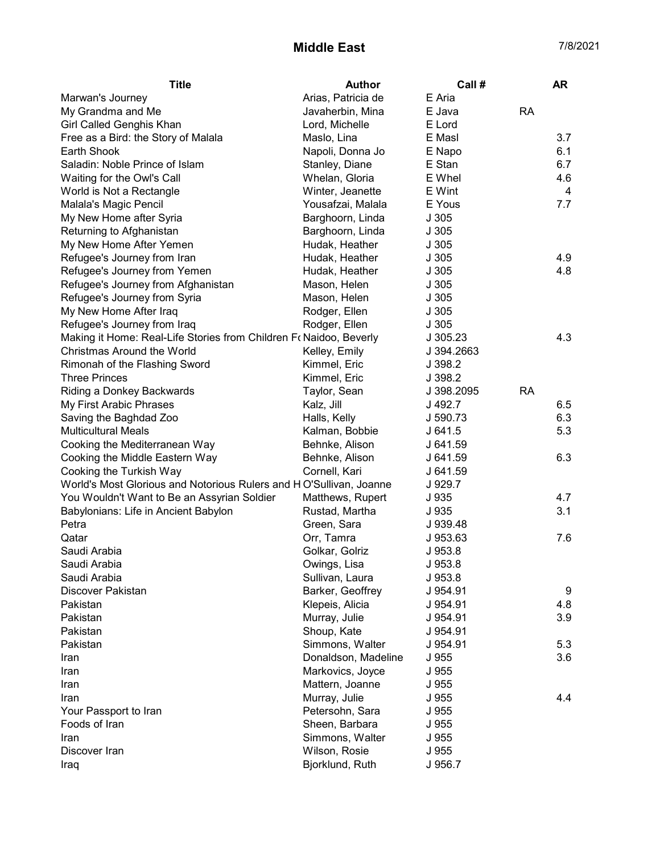## Middle East 7/8/2021

| Arias, Patricia de<br>E Aria<br>Marwan's Journey<br>E Java<br><b>RA</b><br>My Grandma and Me<br>Javaherbin, Mina<br>Girl Called Genghis Khan<br>E Lord<br>Lord, Michelle<br>E Masl<br>3.7<br>Free as a Bird: the Story of Malala<br>Maslo, Lina<br>Earth Shook<br>Napoli, Donna Jo<br>6.1<br>E Napo<br>Saladin: Noble Prince of Islam<br>Stanley, Diane<br>E Stan<br>6.7<br>E Whel<br>Waiting for the Owl's Call<br>Whelan, Gloria<br>4.6<br>Winter, Jeanette<br>E Wint<br>4<br>World is Not a Rectangle<br>Malala's Magic Pencil<br>Yousafzai, Malala<br>E Yous<br>7.7<br>My New Home after Syria<br>Barghoorn, Linda<br>J 305<br>Returning to Afghanistan<br>Barghoorn, Linda<br>J305<br>My New Home After Yemen<br>Hudak, Heather<br>J305<br>Refugee's Journey from Iran<br>J305<br>4.9<br>Hudak, Heather<br>4.8<br>Refugee's Journey from Yemen<br>J305<br>Hudak, Heather<br>Refugee's Journey from Afghanistan<br>J 305<br>Mason, Helen<br>Refugee's Journey from Syria<br>J305<br>Mason, Helen<br>My New Home After Iraq<br>Rodger, Ellen<br>J305<br>Refugee's Journey from Iraq<br>Rodger, Ellen<br>J305<br>4.3<br>Making it Home: Real-Life Stories from Children Fo Naidoo, Beverly<br>J305.23<br>Christmas Around the World<br>Kelley, Emily<br>J 394.2663<br>Kimmel, Eric<br>J 398.2<br>Rimonah of the Flashing Sword<br><b>Three Princes</b><br>J 398.2<br>Kimmel, Eric<br><b>RA</b><br>Taylor, Sean<br>J 398.2095<br>Riding a Donkey Backwards<br>My First Arabic Phrases<br>Kalz, Jill<br>6.5<br>J 492.7<br>6.3<br>Saving the Baghdad Zoo<br>Halls, Kelly<br>J 590.73<br><b>Multicultural Meals</b><br>Kalman, Bobbie<br>J641.5<br>5.3<br>Cooking the Mediterranean Way<br>Behnke, Alison<br>J 641.59<br>Cooking the Middle Eastern Way<br>Behnke, Alison<br>6.3<br>J 641.59<br>Cooking the Turkish Way<br>Cornell, Kari<br>J 641.59<br>World's Most Glorious and Notorious Rulers and HO'Sullivan, Joanne<br>J 929.7<br>4.7<br>You Wouldn't Want to Be an Assyrian Soldier<br>Matthews, Rupert<br>J 935<br>3.1<br>J 935<br>Babylonians: Life in Ancient Babylon<br>Rustad, Martha<br>Green, Sara<br>J 939.48<br>Petra<br>Qatar<br>Orr, Tamra<br>J 953.63<br>7.6<br>Saudi Arabia<br>Golkar, Golriz<br>J 953.8<br>Saudi Arabia<br>Owings, Lisa<br>J 953.8<br>Saudi Arabia<br>Sullivan, Laura<br>J 953.8<br>Discover Pakistan<br>Barker, Geoffrey<br>J 954.91<br>9<br>Klepeis, Alicia<br>Pakistan<br>J 954.91<br>4.8<br>Pakistan<br>Murray, Julie<br>3.9<br>J 954.91<br>Pakistan<br>Shoup, Kate<br>J 954.91<br>Pakistan<br>Simmons, Walter<br>5.3<br>J 954.91<br>Donaldson, Madeline<br>J 955<br>3.6<br>Iran<br>Markovics, Joyce<br>J 955<br>Iran<br>Mattern, Joanne<br>J 955<br>Iran<br>Murray, Julie<br>J 955<br>4.4<br>Iran<br>Petersohn, Sara<br>J 955<br>Your Passport to Iran<br>Foods of Iran<br>Sheen, Barbara<br>J 955<br>Simmons, Walter<br>J 955<br>Iran<br>Wilson, Rosie<br>J 955<br>Discover Iran<br>Bjorklund, Ruth<br>J 956.7<br>Iraq | <b>Title</b> | <b>Author</b> | Call # | AR |
|------------------------------------------------------------------------------------------------------------------------------------------------------------------------------------------------------------------------------------------------------------------------------------------------------------------------------------------------------------------------------------------------------------------------------------------------------------------------------------------------------------------------------------------------------------------------------------------------------------------------------------------------------------------------------------------------------------------------------------------------------------------------------------------------------------------------------------------------------------------------------------------------------------------------------------------------------------------------------------------------------------------------------------------------------------------------------------------------------------------------------------------------------------------------------------------------------------------------------------------------------------------------------------------------------------------------------------------------------------------------------------------------------------------------------------------------------------------------------------------------------------------------------------------------------------------------------------------------------------------------------------------------------------------------------------------------------------------------------------------------------------------------------------------------------------------------------------------------------------------------------------------------------------------------------------------------------------------------------------------------------------------------------------------------------------------------------------------------------------------------------------------------------------------------------------------------------------------------------------------------------------------------------------------------------------------------------------------------------------------------------------------------------------------------------------------------------------------------------------------------------------------------------------------------------------------------------------------------------------------------------------------------------------------------------------------------------------------------------------------------------------------------------------------------------------------------------------------------------------------------------------------------------------------------------------------------------------------|--------------|---------------|--------|----|
|                                                                                                                                                                                                                                                                                                                                                                                                                                                                                                                                                                                                                                                                                                                                                                                                                                                                                                                                                                                                                                                                                                                                                                                                                                                                                                                                                                                                                                                                                                                                                                                                                                                                                                                                                                                                                                                                                                                                                                                                                                                                                                                                                                                                                                                                                                                                                                                                                                                                                                                                                                                                                                                                                                                                                                                                                                                                                                                                                                  |              |               |        |    |
|                                                                                                                                                                                                                                                                                                                                                                                                                                                                                                                                                                                                                                                                                                                                                                                                                                                                                                                                                                                                                                                                                                                                                                                                                                                                                                                                                                                                                                                                                                                                                                                                                                                                                                                                                                                                                                                                                                                                                                                                                                                                                                                                                                                                                                                                                                                                                                                                                                                                                                                                                                                                                                                                                                                                                                                                                                                                                                                                                                  |              |               |        |    |
|                                                                                                                                                                                                                                                                                                                                                                                                                                                                                                                                                                                                                                                                                                                                                                                                                                                                                                                                                                                                                                                                                                                                                                                                                                                                                                                                                                                                                                                                                                                                                                                                                                                                                                                                                                                                                                                                                                                                                                                                                                                                                                                                                                                                                                                                                                                                                                                                                                                                                                                                                                                                                                                                                                                                                                                                                                                                                                                                                                  |              |               |        |    |
|                                                                                                                                                                                                                                                                                                                                                                                                                                                                                                                                                                                                                                                                                                                                                                                                                                                                                                                                                                                                                                                                                                                                                                                                                                                                                                                                                                                                                                                                                                                                                                                                                                                                                                                                                                                                                                                                                                                                                                                                                                                                                                                                                                                                                                                                                                                                                                                                                                                                                                                                                                                                                                                                                                                                                                                                                                                                                                                                                                  |              |               |        |    |
|                                                                                                                                                                                                                                                                                                                                                                                                                                                                                                                                                                                                                                                                                                                                                                                                                                                                                                                                                                                                                                                                                                                                                                                                                                                                                                                                                                                                                                                                                                                                                                                                                                                                                                                                                                                                                                                                                                                                                                                                                                                                                                                                                                                                                                                                                                                                                                                                                                                                                                                                                                                                                                                                                                                                                                                                                                                                                                                                                                  |              |               |        |    |
|                                                                                                                                                                                                                                                                                                                                                                                                                                                                                                                                                                                                                                                                                                                                                                                                                                                                                                                                                                                                                                                                                                                                                                                                                                                                                                                                                                                                                                                                                                                                                                                                                                                                                                                                                                                                                                                                                                                                                                                                                                                                                                                                                                                                                                                                                                                                                                                                                                                                                                                                                                                                                                                                                                                                                                                                                                                                                                                                                                  |              |               |        |    |
|                                                                                                                                                                                                                                                                                                                                                                                                                                                                                                                                                                                                                                                                                                                                                                                                                                                                                                                                                                                                                                                                                                                                                                                                                                                                                                                                                                                                                                                                                                                                                                                                                                                                                                                                                                                                                                                                                                                                                                                                                                                                                                                                                                                                                                                                                                                                                                                                                                                                                                                                                                                                                                                                                                                                                                                                                                                                                                                                                                  |              |               |        |    |
|                                                                                                                                                                                                                                                                                                                                                                                                                                                                                                                                                                                                                                                                                                                                                                                                                                                                                                                                                                                                                                                                                                                                                                                                                                                                                                                                                                                                                                                                                                                                                                                                                                                                                                                                                                                                                                                                                                                                                                                                                                                                                                                                                                                                                                                                                                                                                                                                                                                                                                                                                                                                                                                                                                                                                                                                                                                                                                                                                                  |              |               |        |    |
|                                                                                                                                                                                                                                                                                                                                                                                                                                                                                                                                                                                                                                                                                                                                                                                                                                                                                                                                                                                                                                                                                                                                                                                                                                                                                                                                                                                                                                                                                                                                                                                                                                                                                                                                                                                                                                                                                                                                                                                                                                                                                                                                                                                                                                                                                                                                                                                                                                                                                                                                                                                                                                                                                                                                                                                                                                                                                                                                                                  |              |               |        |    |
|                                                                                                                                                                                                                                                                                                                                                                                                                                                                                                                                                                                                                                                                                                                                                                                                                                                                                                                                                                                                                                                                                                                                                                                                                                                                                                                                                                                                                                                                                                                                                                                                                                                                                                                                                                                                                                                                                                                                                                                                                                                                                                                                                                                                                                                                                                                                                                                                                                                                                                                                                                                                                                                                                                                                                                                                                                                                                                                                                                  |              |               |        |    |
|                                                                                                                                                                                                                                                                                                                                                                                                                                                                                                                                                                                                                                                                                                                                                                                                                                                                                                                                                                                                                                                                                                                                                                                                                                                                                                                                                                                                                                                                                                                                                                                                                                                                                                                                                                                                                                                                                                                                                                                                                                                                                                                                                                                                                                                                                                                                                                                                                                                                                                                                                                                                                                                                                                                                                                                                                                                                                                                                                                  |              |               |        |    |
|                                                                                                                                                                                                                                                                                                                                                                                                                                                                                                                                                                                                                                                                                                                                                                                                                                                                                                                                                                                                                                                                                                                                                                                                                                                                                                                                                                                                                                                                                                                                                                                                                                                                                                                                                                                                                                                                                                                                                                                                                                                                                                                                                                                                                                                                                                                                                                                                                                                                                                                                                                                                                                                                                                                                                                                                                                                                                                                                                                  |              |               |        |    |
|                                                                                                                                                                                                                                                                                                                                                                                                                                                                                                                                                                                                                                                                                                                                                                                                                                                                                                                                                                                                                                                                                                                                                                                                                                                                                                                                                                                                                                                                                                                                                                                                                                                                                                                                                                                                                                                                                                                                                                                                                                                                                                                                                                                                                                                                                                                                                                                                                                                                                                                                                                                                                                                                                                                                                                                                                                                                                                                                                                  |              |               |        |    |
|                                                                                                                                                                                                                                                                                                                                                                                                                                                                                                                                                                                                                                                                                                                                                                                                                                                                                                                                                                                                                                                                                                                                                                                                                                                                                                                                                                                                                                                                                                                                                                                                                                                                                                                                                                                                                                                                                                                                                                                                                                                                                                                                                                                                                                                                                                                                                                                                                                                                                                                                                                                                                                                                                                                                                                                                                                                                                                                                                                  |              |               |        |    |
|                                                                                                                                                                                                                                                                                                                                                                                                                                                                                                                                                                                                                                                                                                                                                                                                                                                                                                                                                                                                                                                                                                                                                                                                                                                                                                                                                                                                                                                                                                                                                                                                                                                                                                                                                                                                                                                                                                                                                                                                                                                                                                                                                                                                                                                                                                                                                                                                                                                                                                                                                                                                                                                                                                                                                                                                                                                                                                                                                                  |              |               |        |    |
|                                                                                                                                                                                                                                                                                                                                                                                                                                                                                                                                                                                                                                                                                                                                                                                                                                                                                                                                                                                                                                                                                                                                                                                                                                                                                                                                                                                                                                                                                                                                                                                                                                                                                                                                                                                                                                                                                                                                                                                                                                                                                                                                                                                                                                                                                                                                                                                                                                                                                                                                                                                                                                                                                                                                                                                                                                                                                                                                                                  |              |               |        |    |
|                                                                                                                                                                                                                                                                                                                                                                                                                                                                                                                                                                                                                                                                                                                                                                                                                                                                                                                                                                                                                                                                                                                                                                                                                                                                                                                                                                                                                                                                                                                                                                                                                                                                                                                                                                                                                                                                                                                                                                                                                                                                                                                                                                                                                                                                                                                                                                                                                                                                                                                                                                                                                                                                                                                                                                                                                                                                                                                                                                  |              |               |        |    |
|                                                                                                                                                                                                                                                                                                                                                                                                                                                                                                                                                                                                                                                                                                                                                                                                                                                                                                                                                                                                                                                                                                                                                                                                                                                                                                                                                                                                                                                                                                                                                                                                                                                                                                                                                                                                                                                                                                                                                                                                                                                                                                                                                                                                                                                                                                                                                                                                                                                                                                                                                                                                                                                                                                                                                                                                                                                                                                                                                                  |              |               |        |    |
|                                                                                                                                                                                                                                                                                                                                                                                                                                                                                                                                                                                                                                                                                                                                                                                                                                                                                                                                                                                                                                                                                                                                                                                                                                                                                                                                                                                                                                                                                                                                                                                                                                                                                                                                                                                                                                                                                                                                                                                                                                                                                                                                                                                                                                                                                                                                                                                                                                                                                                                                                                                                                                                                                                                                                                                                                                                                                                                                                                  |              |               |        |    |
|                                                                                                                                                                                                                                                                                                                                                                                                                                                                                                                                                                                                                                                                                                                                                                                                                                                                                                                                                                                                                                                                                                                                                                                                                                                                                                                                                                                                                                                                                                                                                                                                                                                                                                                                                                                                                                                                                                                                                                                                                                                                                                                                                                                                                                                                                                                                                                                                                                                                                                                                                                                                                                                                                                                                                                                                                                                                                                                                                                  |              |               |        |    |
|                                                                                                                                                                                                                                                                                                                                                                                                                                                                                                                                                                                                                                                                                                                                                                                                                                                                                                                                                                                                                                                                                                                                                                                                                                                                                                                                                                                                                                                                                                                                                                                                                                                                                                                                                                                                                                                                                                                                                                                                                                                                                                                                                                                                                                                                                                                                                                                                                                                                                                                                                                                                                                                                                                                                                                                                                                                                                                                                                                  |              |               |        |    |
|                                                                                                                                                                                                                                                                                                                                                                                                                                                                                                                                                                                                                                                                                                                                                                                                                                                                                                                                                                                                                                                                                                                                                                                                                                                                                                                                                                                                                                                                                                                                                                                                                                                                                                                                                                                                                                                                                                                                                                                                                                                                                                                                                                                                                                                                                                                                                                                                                                                                                                                                                                                                                                                                                                                                                                                                                                                                                                                                                                  |              |               |        |    |
|                                                                                                                                                                                                                                                                                                                                                                                                                                                                                                                                                                                                                                                                                                                                                                                                                                                                                                                                                                                                                                                                                                                                                                                                                                                                                                                                                                                                                                                                                                                                                                                                                                                                                                                                                                                                                                                                                                                                                                                                                                                                                                                                                                                                                                                                                                                                                                                                                                                                                                                                                                                                                                                                                                                                                                                                                                                                                                                                                                  |              |               |        |    |
|                                                                                                                                                                                                                                                                                                                                                                                                                                                                                                                                                                                                                                                                                                                                                                                                                                                                                                                                                                                                                                                                                                                                                                                                                                                                                                                                                                                                                                                                                                                                                                                                                                                                                                                                                                                                                                                                                                                                                                                                                                                                                                                                                                                                                                                                                                                                                                                                                                                                                                                                                                                                                                                                                                                                                                                                                                                                                                                                                                  |              |               |        |    |
|                                                                                                                                                                                                                                                                                                                                                                                                                                                                                                                                                                                                                                                                                                                                                                                                                                                                                                                                                                                                                                                                                                                                                                                                                                                                                                                                                                                                                                                                                                                                                                                                                                                                                                                                                                                                                                                                                                                                                                                                                                                                                                                                                                                                                                                                                                                                                                                                                                                                                                                                                                                                                                                                                                                                                                                                                                                                                                                                                                  |              |               |        |    |
|                                                                                                                                                                                                                                                                                                                                                                                                                                                                                                                                                                                                                                                                                                                                                                                                                                                                                                                                                                                                                                                                                                                                                                                                                                                                                                                                                                                                                                                                                                                                                                                                                                                                                                                                                                                                                                                                                                                                                                                                                                                                                                                                                                                                                                                                                                                                                                                                                                                                                                                                                                                                                                                                                                                                                                                                                                                                                                                                                                  |              |               |        |    |
|                                                                                                                                                                                                                                                                                                                                                                                                                                                                                                                                                                                                                                                                                                                                                                                                                                                                                                                                                                                                                                                                                                                                                                                                                                                                                                                                                                                                                                                                                                                                                                                                                                                                                                                                                                                                                                                                                                                                                                                                                                                                                                                                                                                                                                                                                                                                                                                                                                                                                                                                                                                                                                                                                                                                                                                                                                                                                                                                                                  |              |               |        |    |
|                                                                                                                                                                                                                                                                                                                                                                                                                                                                                                                                                                                                                                                                                                                                                                                                                                                                                                                                                                                                                                                                                                                                                                                                                                                                                                                                                                                                                                                                                                                                                                                                                                                                                                                                                                                                                                                                                                                                                                                                                                                                                                                                                                                                                                                                                                                                                                                                                                                                                                                                                                                                                                                                                                                                                                                                                                                                                                                                                                  |              |               |        |    |
|                                                                                                                                                                                                                                                                                                                                                                                                                                                                                                                                                                                                                                                                                                                                                                                                                                                                                                                                                                                                                                                                                                                                                                                                                                                                                                                                                                                                                                                                                                                                                                                                                                                                                                                                                                                                                                                                                                                                                                                                                                                                                                                                                                                                                                                                                                                                                                                                                                                                                                                                                                                                                                                                                                                                                                                                                                                                                                                                                                  |              |               |        |    |
|                                                                                                                                                                                                                                                                                                                                                                                                                                                                                                                                                                                                                                                                                                                                                                                                                                                                                                                                                                                                                                                                                                                                                                                                                                                                                                                                                                                                                                                                                                                                                                                                                                                                                                                                                                                                                                                                                                                                                                                                                                                                                                                                                                                                                                                                                                                                                                                                                                                                                                                                                                                                                                                                                                                                                                                                                                                                                                                                                                  |              |               |        |    |
|                                                                                                                                                                                                                                                                                                                                                                                                                                                                                                                                                                                                                                                                                                                                                                                                                                                                                                                                                                                                                                                                                                                                                                                                                                                                                                                                                                                                                                                                                                                                                                                                                                                                                                                                                                                                                                                                                                                                                                                                                                                                                                                                                                                                                                                                                                                                                                                                                                                                                                                                                                                                                                                                                                                                                                                                                                                                                                                                                                  |              |               |        |    |
|                                                                                                                                                                                                                                                                                                                                                                                                                                                                                                                                                                                                                                                                                                                                                                                                                                                                                                                                                                                                                                                                                                                                                                                                                                                                                                                                                                                                                                                                                                                                                                                                                                                                                                                                                                                                                                                                                                                                                                                                                                                                                                                                                                                                                                                                                                                                                                                                                                                                                                                                                                                                                                                                                                                                                                                                                                                                                                                                                                  |              |               |        |    |
|                                                                                                                                                                                                                                                                                                                                                                                                                                                                                                                                                                                                                                                                                                                                                                                                                                                                                                                                                                                                                                                                                                                                                                                                                                                                                                                                                                                                                                                                                                                                                                                                                                                                                                                                                                                                                                                                                                                                                                                                                                                                                                                                                                                                                                                                                                                                                                                                                                                                                                                                                                                                                                                                                                                                                                                                                                                                                                                                                                  |              |               |        |    |
|                                                                                                                                                                                                                                                                                                                                                                                                                                                                                                                                                                                                                                                                                                                                                                                                                                                                                                                                                                                                                                                                                                                                                                                                                                                                                                                                                                                                                                                                                                                                                                                                                                                                                                                                                                                                                                                                                                                                                                                                                                                                                                                                                                                                                                                                                                                                                                                                                                                                                                                                                                                                                                                                                                                                                                                                                                                                                                                                                                  |              |               |        |    |
|                                                                                                                                                                                                                                                                                                                                                                                                                                                                                                                                                                                                                                                                                                                                                                                                                                                                                                                                                                                                                                                                                                                                                                                                                                                                                                                                                                                                                                                                                                                                                                                                                                                                                                                                                                                                                                                                                                                                                                                                                                                                                                                                                                                                                                                                                                                                                                                                                                                                                                                                                                                                                                                                                                                                                                                                                                                                                                                                                                  |              |               |        |    |
|                                                                                                                                                                                                                                                                                                                                                                                                                                                                                                                                                                                                                                                                                                                                                                                                                                                                                                                                                                                                                                                                                                                                                                                                                                                                                                                                                                                                                                                                                                                                                                                                                                                                                                                                                                                                                                                                                                                                                                                                                                                                                                                                                                                                                                                                                                                                                                                                                                                                                                                                                                                                                                                                                                                                                                                                                                                                                                                                                                  |              |               |        |    |
|                                                                                                                                                                                                                                                                                                                                                                                                                                                                                                                                                                                                                                                                                                                                                                                                                                                                                                                                                                                                                                                                                                                                                                                                                                                                                                                                                                                                                                                                                                                                                                                                                                                                                                                                                                                                                                                                                                                                                                                                                                                                                                                                                                                                                                                                                                                                                                                                                                                                                                                                                                                                                                                                                                                                                                                                                                                                                                                                                                  |              |               |        |    |
|                                                                                                                                                                                                                                                                                                                                                                                                                                                                                                                                                                                                                                                                                                                                                                                                                                                                                                                                                                                                                                                                                                                                                                                                                                                                                                                                                                                                                                                                                                                                                                                                                                                                                                                                                                                                                                                                                                                                                                                                                                                                                                                                                                                                                                                                                                                                                                                                                                                                                                                                                                                                                                                                                                                                                                                                                                                                                                                                                                  |              |               |        |    |
|                                                                                                                                                                                                                                                                                                                                                                                                                                                                                                                                                                                                                                                                                                                                                                                                                                                                                                                                                                                                                                                                                                                                                                                                                                                                                                                                                                                                                                                                                                                                                                                                                                                                                                                                                                                                                                                                                                                                                                                                                                                                                                                                                                                                                                                                                                                                                                                                                                                                                                                                                                                                                                                                                                                                                                                                                                                                                                                                                                  |              |               |        |    |
|                                                                                                                                                                                                                                                                                                                                                                                                                                                                                                                                                                                                                                                                                                                                                                                                                                                                                                                                                                                                                                                                                                                                                                                                                                                                                                                                                                                                                                                                                                                                                                                                                                                                                                                                                                                                                                                                                                                                                                                                                                                                                                                                                                                                                                                                                                                                                                                                                                                                                                                                                                                                                                                                                                                                                                                                                                                                                                                                                                  |              |               |        |    |
|                                                                                                                                                                                                                                                                                                                                                                                                                                                                                                                                                                                                                                                                                                                                                                                                                                                                                                                                                                                                                                                                                                                                                                                                                                                                                                                                                                                                                                                                                                                                                                                                                                                                                                                                                                                                                                                                                                                                                                                                                                                                                                                                                                                                                                                                                                                                                                                                                                                                                                                                                                                                                                                                                                                                                                                                                                                                                                                                                                  |              |               |        |    |
|                                                                                                                                                                                                                                                                                                                                                                                                                                                                                                                                                                                                                                                                                                                                                                                                                                                                                                                                                                                                                                                                                                                                                                                                                                                                                                                                                                                                                                                                                                                                                                                                                                                                                                                                                                                                                                                                                                                                                                                                                                                                                                                                                                                                                                                                                                                                                                                                                                                                                                                                                                                                                                                                                                                                                                                                                                                                                                                                                                  |              |               |        |    |
|                                                                                                                                                                                                                                                                                                                                                                                                                                                                                                                                                                                                                                                                                                                                                                                                                                                                                                                                                                                                                                                                                                                                                                                                                                                                                                                                                                                                                                                                                                                                                                                                                                                                                                                                                                                                                                                                                                                                                                                                                                                                                                                                                                                                                                                                                                                                                                                                                                                                                                                                                                                                                                                                                                                                                                                                                                                                                                                                                                  |              |               |        |    |
|                                                                                                                                                                                                                                                                                                                                                                                                                                                                                                                                                                                                                                                                                                                                                                                                                                                                                                                                                                                                                                                                                                                                                                                                                                                                                                                                                                                                                                                                                                                                                                                                                                                                                                                                                                                                                                                                                                                                                                                                                                                                                                                                                                                                                                                                                                                                                                                                                                                                                                                                                                                                                                                                                                                                                                                                                                                                                                                                                                  |              |               |        |    |
|                                                                                                                                                                                                                                                                                                                                                                                                                                                                                                                                                                                                                                                                                                                                                                                                                                                                                                                                                                                                                                                                                                                                                                                                                                                                                                                                                                                                                                                                                                                                                                                                                                                                                                                                                                                                                                                                                                                                                                                                                                                                                                                                                                                                                                                                                                                                                                                                                                                                                                                                                                                                                                                                                                                                                                                                                                                                                                                                                                  |              |               |        |    |
|                                                                                                                                                                                                                                                                                                                                                                                                                                                                                                                                                                                                                                                                                                                                                                                                                                                                                                                                                                                                                                                                                                                                                                                                                                                                                                                                                                                                                                                                                                                                                                                                                                                                                                                                                                                                                                                                                                                                                                                                                                                                                                                                                                                                                                                                                                                                                                                                                                                                                                                                                                                                                                                                                                                                                                                                                                                                                                                                                                  |              |               |        |    |
|                                                                                                                                                                                                                                                                                                                                                                                                                                                                                                                                                                                                                                                                                                                                                                                                                                                                                                                                                                                                                                                                                                                                                                                                                                                                                                                                                                                                                                                                                                                                                                                                                                                                                                                                                                                                                                                                                                                                                                                                                                                                                                                                                                                                                                                                                                                                                                                                                                                                                                                                                                                                                                                                                                                                                                                                                                                                                                                                                                  |              |               |        |    |
|                                                                                                                                                                                                                                                                                                                                                                                                                                                                                                                                                                                                                                                                                                                                                                                                                                                                                                                                                                                                                                                                                                                                                                                                                                                                                                                                                                                                                                                                                                                                                                                                                                                                                                                                                                                                                                                                                                                                                                                                                                                                                                                                                                                                                                                                                                                                                                                                                                                                                                                                                                                                                                                                                                                                                                                                                                                                                                                                                                  |              |               |        |    |
|                                                                                                                                                                                                                                                                                                                                                                                                                                                                                                                                                                                                                                                                                                                                                                                                                                                                                                                                                                                                                                                                                                                                                                                                                                                                                                                                                                                                                                                                                                                                                                                                                                                                                                                                                                                                                                                                                                                                                                                                                                                                                                                                                                                                                                                                                                                                                                                                                                                                                                                                                                                                                                                                                                                                                                                                                                                                                                                                                                  |              |               |        |    |
|                                                                                                                                                                                                                                                                                                                                                                                                                                                                                                                                                                                                                                                                                                                                                                                                                                                                                                                                                                                                                                                                                                                                                                                                                                                                                                                                                                                                                                                                                                                                                                                                                                                                                                                                                                                                                                                                                                                                                                                                                                                                                                                                                                                                                                                                                                                                                                                                                                                                                                                                                                                                                                                                                                                                                                                                                                                                                                                                                                  |              |               |        |    |
|                                                                                                                                                                                                                                                                                                                                                                                                                                                                                                                                                                                                                                                                                                                                                                                                                                                                                                                                                                                                                                                                                                                                                                                                                                                                                                                                                                                                                                                                                                                                                                                                                                                                                                                                                                                                                                                                                                                                                                                                                                                                                                                                                                                                                                                                                                                                                                                                                                                                                                                                                                                                                                                                                                                                                                                                                                                                                                                                                                  |              |               |        |    |